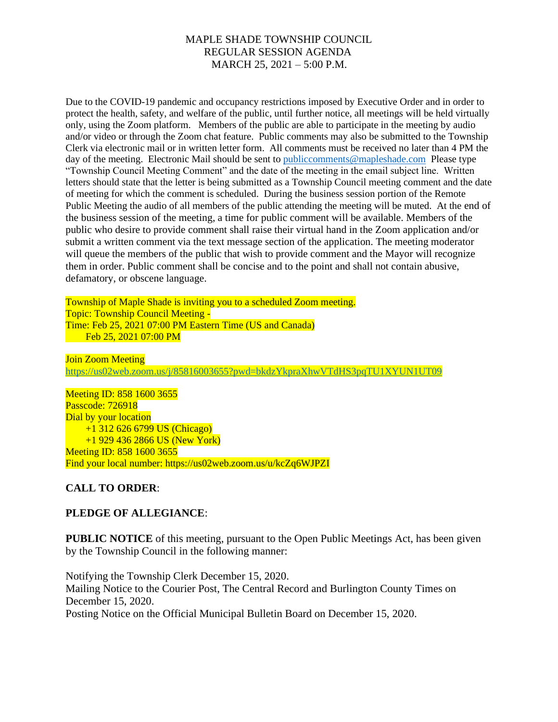## MAPLE SHADE TOWNSHIP COUNCIL REGULAR SESSION AGENDA MARCH 25, 2021 – 5:00 P.M.

Due to the COVID-19 pandemic and occupancy restrictions imposed by Executive Order and in order to protect the health, safety, and welfare of the public, until further notice, all meetings will be held virtually only, using the Zoom platform. Members of the public are able to participate in the meeting by audio and/or video or through the Zoom chat feature. Public comments may also be submitted to the Township Clerk via electronic mail or in written letter form. All comments must be received no later than 4 PM the day of the meeting. Electronic Mail should be sent to public comments@mapleshade.com Please type "Township Council Meeting Comment" and the date of the meeting in the email subject line. Written letters should state that the letter is being submitted as a Township Council meeting comment and the date of meeting for which the comment is scheduled. During the business session portion of the Remote Public Meeting the audio of all members of the public attending the meeting will be muted. At the end of the business session of the meeting, a time for public comment will be available. Members of the public who desire to provide comment shall raise their virtual hand in the Zoom application and/or submit a written comment via the text message section of the application. The meeting moderator will queue the members of the public that wish to provide comment and the Mayor will recognize them in order. Public comment shall be concise and to the point and shall not contain abusive, defamatory, or obscene language.

Township of Maple Shade is inviting you to a scheduled Zoom meeting. Topic: Township Council Meeting - Time: Feb 25, 2021 07:00 PM Eastern Time (US and Canada) Feb 25, 2021 07:00 PM

**Join Zoom Meeting** <https://us02web.zoom.us/j/85816003655?pwd=bkdzYkpraXhwVTdHS3pqTU1XYUN1UT09>

Meeting ID: 858 1600 3655 Passcode: 726918 Dial by your location +1 312 626 6799 US (Chicago) +1 929 436 2866 US (New York) Meeting ID: 858 1600 3655 Find your local number: https://us02web.zoom.us/u/kcZq6WJPZI

### **CALL TO ORDER**:

### **PLEDGE OF ALLEGIANCE**:

**PUBLIC NOTICE** of this meeting, pursuant to the Open Public Meetings Act, has been given by the Township Council in the following manner:

Notifying the Township Clerk December 15, 2020. Mailing Notice to the Courier Post, The Central Record and Burlington County Times on December 15, 2020. Posting Notice on the Official Municipal Bulletin Board on December 15, 2020.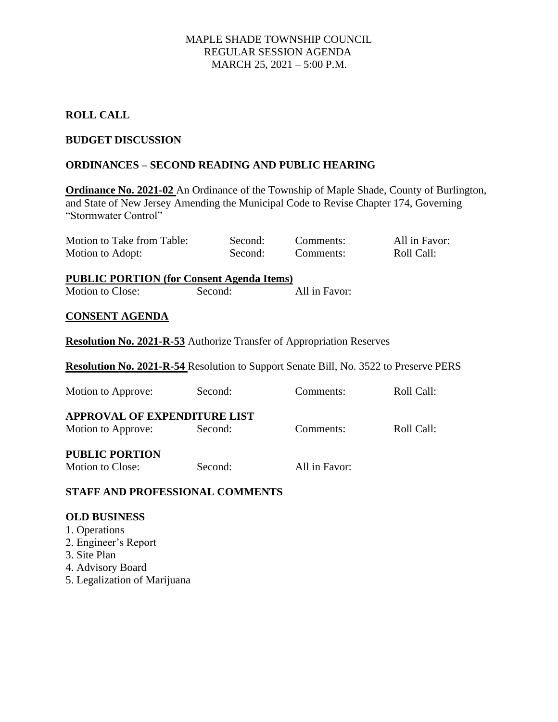## MAPLE SHADE TOWNSHIP COUNCIL REGULAR SESSION AGENDA MARCH 25, 2021 – 5:00 P.M.

# **ROLL CALL**

## **BUDGET DISCUSSION**

## **ORDINANCES – SECOND READING AND PUBLIC HEARING**

**Ordinance No. 2021-02** An Ordinance of the Township of Maple Shade, County of Burlington, and State of New Jersey Amending the Municipal Code to Revise Chapter 174, Governing "Stormwater Control"

| Motion to Take from Table: | Second: | Comments: | All in Favor: |
|----------------------------|---------|-----------|---------------|
| Motion to Adopt:           | Second: | Comments: | Roll Call:    |

**PUBLIC PORTION (for Consent Agenda Items)** Motion to Close: Second: All in Favor:

#### **CONSENT AGENDA**

**Resolution No. 2021-R-53** Authorize Transfer of Appropriation Reserves

**Resolution No. 2021-R-54** Resolution to Support Senate Bill, No. 3522 to Preserve PERS

| Motion to Approve:                  | Second: | Comments:     | Roll Call: |
|-------------------------------------|---------|---------------|------------|
| <b>APPROVAL OF EXPENDITURE LIST</b> |         |               |            |
| Motion to Approve:                  | Second: | Comments:     | Roll Call: |
| <b>PUBLIC PORTION</b>               |         |               |            |
| Motion to Close:                    | Second: | All in Favor: |            |

# **STAFF AND PROFESSIONAL COMMENTS**

### **OLD BUSINESS**

- 1. Operations
- 2. Engineer's Report
- 3. Site Plan
- 4. Advisory Board
- 5. Legalization of Marijuana